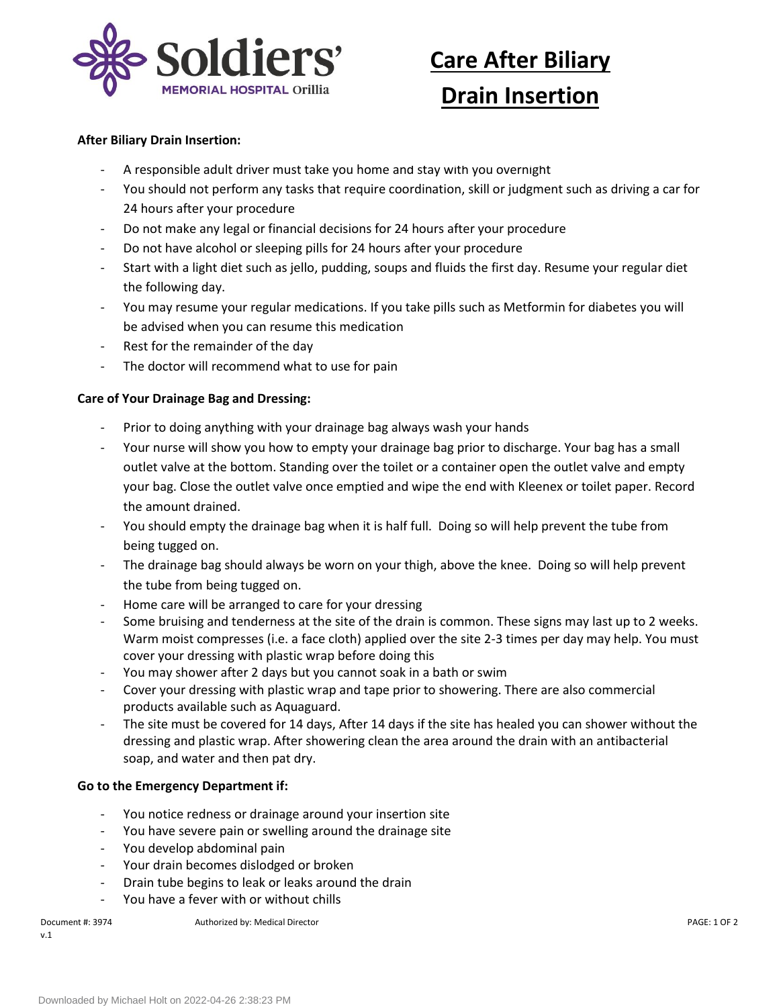

# **Care After Biliary**

## **Drain Insertion**

#### **After Biliary Drain Insertion:**

- A responsible adult driver must take you home and stay with you overnight
- You should not perform any tasks that require coordination, skill or judgment such as driving a car for 24 hours after your procedure
- Do not make any legal or financial decisions for 24 hours after your procedure
- Do not have alcohol or sleeping pills for 24 hours after your procedure
- Start with a light diet such as jello, pudding, soups and fluids the first day. Resume your regular diet the following day.
- You may resume your regular medications. If you take pills such as Metformin for diabetes you will be advised when you can resume this medication
- Rest for the remainder of the day
- The doctor will recommend what to use for pain

#### **Care of Your Drainage Bag and Dressing:**

- Prior to doing anything with your drainage bag always wash your hands
- Your nurse will show you how to empty your drainage bag prior to discharge. Your bag has a small outlet valve at the bottom. Standing over the toilet or a container open the outlet valve and empty your bag. Close the outlet valve once emptied and wipe the end with Kleenex or toilet paper. Record the amount drained.
- You should empty the drainage bag when it is half full. Doing so will help prevent the tube from being tugged on.
- The drainage bag should always be worn on your thigh, above the knee. Doing so will help prevent the tube from being tugged on.
- Home care will be arranged to care for your dressing
- Some bruising and tenderness at the site of the drain is common. These signs may last up to 2 weeks. Warm moist compresses (i.e. a face cloth) applied over the site 2-3 times per day may help. You must cover your dressing with plastic wrap before doing this
- You may shower after 2 days but you cannot soak in a bath or swim
- Cover your dressing with plastic wrap and tape prior to showering. There are also commercial products available such as Aquaguard.
- The site must be covered for 14 days, After 14 days if the site has healed you can shower without the dressing and plastic wrap. After showering clean the area around the drain with an antibacterial soap, and water and then pat dry.

#### **Go to the Emergency Department if:**

- You notice redness or drainage around your insertion site
- You have severe pain or swelling around the drainage site
- You develop abdominal pain
- Your drain becomes dislodged or broken
- Drain tube begins to leak or leaks around the drain
- You have a fever with or without chills